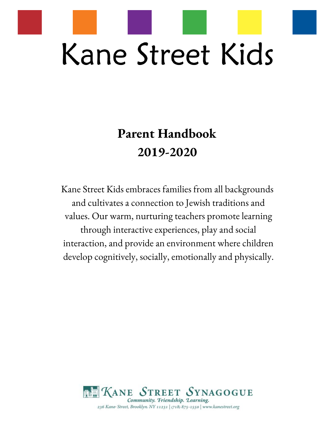

# **Parent Handbook 2019-2020**

Kane Street Kids embraces families from all backgrounds and cultivates a connection to Jewish traditions and values. Our warm, nurturing teachers promote learning through interactive experiences, play and social interaction, and provide an environment where children develop cognitively, socially, emotionally and physically.

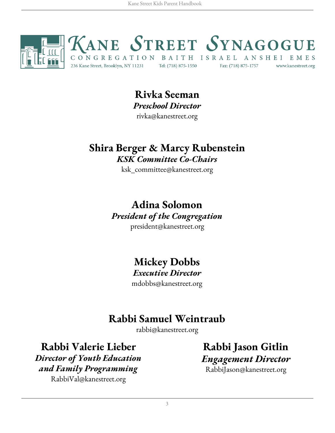

## **Rivka Seeman** *Preschool Director*

rivka@kanestreet.org

## **Shira Berger & Marcy Rubenstein** *KSK Committee Co-Chairs*

ksk\_committee@kanestreet.org

## **Adina Solomon** *President of the Congregation*

president@kanestreet.org

## **Mickey Dobbs**

#### *Executive Director*

mdobbs@kanestreet.org

## **Rabbi Samuel Weintraub**

rabbi@kanestreet.org

## **Rabbi Valerie Lieber**

*Director of Youth Education and Family Programming* RabbiVal@kanestreet.org

**Rabbi Jason Gitlin** *Engagement Director* RabbiJason@kanestreet.org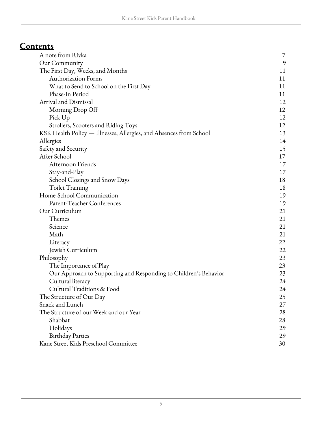## **Contents**

| A note from Rivka                                                  | 7              |
|--------------------------------------------------------------------|----------------|
| Our Community                                                      | $\mathfrak{H}$ |
| The First Day, Weeks, and Months                                   | 11             |
| <b>Authorization Forms</b>                                         | 11             |
| What to Send to School on the First Day                            | 11             |
| Phase-In Period                                                    | 11             |
| Arrival and Dismissal                                              | 12             |
| Morning Drop Off                                                   | 12             |
| Pick Up                                                            | 12             |
| Strollers, Scooters and Riding Toys                                | 12             |
| KSK Health Policy — Illnesses, Allergies, and Absences from School | 13             |
| Allergies                                                          | 14             |
| Safety and Security                                                | 15             |
| After School                                                       | 17             |
| Afternoon Friends                                                  | 17             |
| Stay-and-Play                                                      | 17             |
| School Closings and Snow Days                                      | 18             |
| Toilet Training                                                    | 18             |
| Home-School Communication                                          | 19             |
| Parent-Teacher Conferences                                         | 19             |
| Our Curriculum                                                     | 21             |
| Themes                                                             | 21             |
| Science                                                            | 21             |
| Math                                                               | 21             |
| Literacy                                                           | 22             |
| Jewish Curriculum                                                  | 22             |
| Philosophy                                                         | 23             |
| The Importance of Play                                             | 23             |
| Our Approach to Supporting and Responding to Children's Behavior   | 23             |
| Cultural literacy                                                  | 24             |
| Cultural Traditions & Food                                         | 24             |
| The Structure of Our Day                                           | 25             |
| Snack and Lunch                                                    | 27             |
| The Structure of our Week and our Year                             | 28             |
| Shabbat                                                            | 28             |
| Holidays                                                           | 29             |
| <b>Birthday Parties</b>                                            | 29             |
| Kane Street Kids Preschool Committee                               | 30             |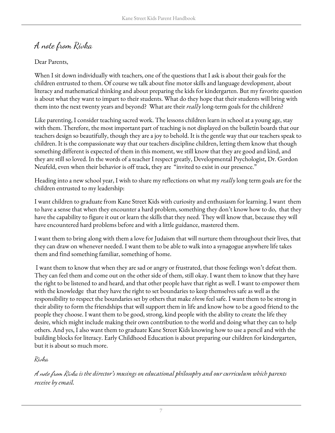## <span id="page-6-0"></span>A note from Rivka

#### Dear Parents,

When I sit down individually with teachers, one of the questions that I ask is about their goals for the children entrusted to them. Of course we talk about fine motor skills and language development, about literacy and mathematical thinking and about preparing the kids for kindergarten. But my favorite question is about what they want to impart to their students. What do they hope that their students will bring with them into the next twenty years and beyond? What are their *really* long-term goals for the children?

Like parenting, I consider teaching sacred work. The lessons children learn in school at a young age, stay with them. Therefore, the most important part of teaching is not displayed on the bulletin boards that our teachers design so beautifully, though they are a joy to behold. It is the gentle way that our teachers speak to children. It is the compassionate way that our teachers discipline children, letting them know that though something different is expected of them in this moment, we still know that they are good and kind, and they are still so loved. In the words of a teacher I respect greatly, Developmental Psychologist, Dr. Gordon Neufeld, even when their behavior is off track, they are "invited to exist in our presence."

Heading into a new school year, I wish to share my reflections on what my *really* long term goals are for the children entrusted to my leadership:

I want children to graduate from Kane Street Kids with curiosity and enthusiasm for learning. I want them to have a sense that when they encounter a hard problem, something they don't know how to do, that they have the capability to figure it out or learn the skills that they need. They will know that, because they will have encountered hard problems before and with a little guidance, mastered them.

I want them to bring along with them a love for Judaism that will nurture them throughout their lives, that they can draw on whenever needed. I want them to be able to walk into a synagogue anywhere life takes them and find something familiar, something of home.

I want them to know that when they are sad or angry or frustrated, that those feelings won't defeat them. They can feel them and come out on the other side of them, still okay. I want them to know that they have the right to be listened to and heard, and that other people have that right as well. I want to empower them with the knowledge that they have the right to set boundaries to keep themselves safe as well as the responsibility to respect the boundaries set by others that make *them* feel safe. I want them to be strong in their ability to form the friendships that will support them in life and know how to be a good friend to the people they choose. I want them to be good, strong, kind people with the ability to create the life they desire, which might include making their own contribution to the world and doing what they can to help others. And yes, I also want them to graduate Kane Street Kids knowing how to use a pencil and with the building blocks for literacy. Early Childhood Education is about preparing our children for kindergarten, but it is about so much more.

Rivka

A note from Rivka *is the director's musings on educational philosophy and our curriculum which parents receive by email.*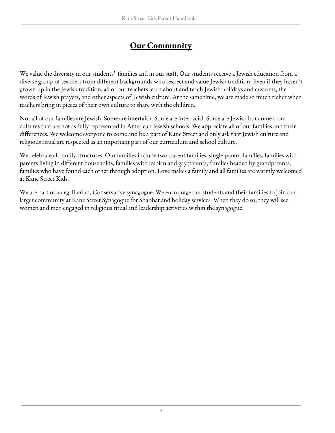## **Our Community**

<span id="page-8-0"></span>We value the diversity in our students' families and in our staff. Our students receive a Jewish education from a diverse group of teachers from different backgrounds who respect and value Jewish tradition. Even if they haven't grown up in the Jewish tradition, all of our teachers learn about and teach Jewish holidays and customs, the words of Jewish prayers, and other aspects of Jewish culture. At the same time, we are made so much richer when teachers bring in pieces of their own culture to share with the children.

Not all of our families are Jewish. Some are interfaith. Some are interracial. Some are Jewish but come from cultures that are not as fully represented in American Jewish schools. We appreciate all of our families and their differences. We welcome everyone to come and be a part of Kane Street and only ask that Jewish culture and religious ritual are respected as an important part of our curriculum and school culture.

We celebrate all family structures. Our families include two-parent families, single-parent families, families with parents living in different households, families with lesbian and gay parents, families headed by grandparents, families who have found each other through adoption. Love makes a family and all families are warmly welcomed at Kane Street Kids.

We are part of an egalitarian, Conservative synagogue. We encourage our students and their families to join our larger community at Kane Street Synagogue for Shabbat and holiday services. When they do so, they will see women and men engaged in religious ritual and leadership activities within the synagogue.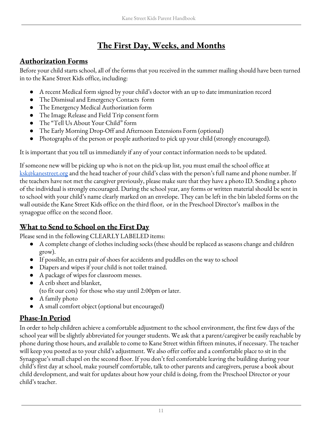## **The First Day, Weeks, and Months**

#### <span id="page-10-1"></span><span id="page-10-0"></span>**Authorization Forms**

Before your child starts school, all of the forms that you received in the summer mailing should have been turned in to the Kane Street Kids office, including:

- A recent Medical form signed by your child's doctor with an up to date immunization record
- The Dismissal and Emergency Contacts form
- The Emergency Medical Authorization form
- The Image Release and Field Trip consent form
- The "Tell Us About Your Child" form
- The Early Morning Drop-Off and Afternoon Extensions Form (optional)
- Photographs of the person or people authorized to pick up your child (strongly encouraged).

It is important that you tell us immediately if any of your contact information needs to be updated.

If someone new will be picking up who is not on the pick-up list, you must email the school office at [ksk@kanestreet.org](mailto:ksk@kanestreet.org) and the head teacher of your child's class with the person's full name and phone number. If the teachers have not met the caregiver previously, please make sure that they have a photo ID. Sending a photo of the individual is strongly encouraged. During the school year, any forms or written material should be sent in to school with your child's name clearly marked on an envelope. They can be left in the bin labeled forms on the wall outside the Kane Street Kids office on the third floor, or in the Preschool Director's mailbox in the synagogue office on the second floor.

#### <span id="page-10-2"></span>**What to Send to School on the First Day**

Please send in the following CLEARLY LABELED items:

- A complete change of clothes including socks (these should be replaced as seasons change and children grow).
- If possible, an extra pair of shoes for accidents and puddles on the way to school
- Diapers and wipes if your child is not toilet trained.
- A package of wipes for classroom messes.
- A crib sheet and blanket,
- (to fit our cots) for those who stay until 2:00pm or later.
- A family photo
- A small comfort object (optional but encouraged)

#### <span id="page-10-3"></span>**Phase-In Period**

In order to help children achieve a comfortable adjustment to the school environment, the first few days of the school year will be slightly abbreviated for younger students. We ask that a parent/caregiver be easily reachable by phone during those hours, and available to come to Kane Street within fifteen minutes, if necessary. The teacher will keep you posted as to your child's adjustment. We also offer coffee and a comfortable place to sit in the Synagogue's small chapel on the second floor. If you don't feel comfortable leaving the building during your child's first day at school, make yourself comfortable, talk to other parents and caregivers, peruse a book about child development, and wait for updates about how your child is doing, from the Preschool Director or your child's teacher.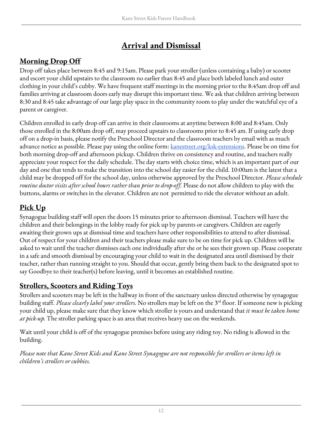## **Arrival and Dismissal**

## <span id="page-11-1"></span><span id="page-11-0"></span>**Morning Drop Off**

Drop off takes place between 8:45 and 9:15am. Please park your stroller (unless containing a baby) or scooter and escort your child upstairs to the classroom no earlier than 8:45 and place both labeled lunch and outer clothing in your child's cubby. We have frequent staff meetings in the morning prior to the 8:45am drop off and families arriving at classroom doors early may disrupt this important time. We ask that children arriving between 8:30 and 8:45 take advantage of our large play space in the community room to play under the watchful eye of a parent or caregiver.

Children enrolled in early drop off can arrive in their classrooms at anytime between 8:00 and 8:45am. Only those enrolled in the 8:00am drop off, may proceed upstairs to classrooms prior to 8:45 am. If using early drop off on a drop-in basis, please notify the Preschool Director and the classroom teachers by email with as much advance notice as possible. Please pay using the online form: <u>[kanestreet.org/ksk-extensions](http://kanestreet.org/ksk-extensions)</u>. Please be on time for both morning drop-off and afternoon pickup. Children thrive on consistency and routine, and teachers really appreciate your respect for the daily schedule. The day starts with choice time, which is an important part of our day and one that tends to make the transition into the school day easier for the child. 10:00am is the latest that a child may be dropped off for the school day, unless otherwise approved by the Preschool Director. *Please schedule routine doctor visits after school hours rather than prior to drop-of .* Please do not allow children to play with the buttons, alarms or switches in the elevator. Children are not permitted to ride the elevator without an adult.

#### <span id="page-11-2"></span>**Pick Up**

Synagogue building staff will open the doors 15 minutes prior to afternoon dismissal. Teachers will have the children and their belongings in the lobby ready for pick up by parents or caregivers. Children are eagerly awaiting their grown ups at dismissal time and teachers have other responsibilities to attend to after dismissal. Out of respect for your children and their teachers please make sure to be on time for pick up. Children will be asked to wait until the teacher dismisses each one individually after she or he sees their grown up. Please cooperate in a safe and smooth dismissal by encouraging your child to wait in the designated area until dismissed by their teacher, rather than running straight to you. Should that occur, gently bring them back to the designated spot to say Goodbye to their teacher(s) before leaving, until it becomes an established routine.

#### <span id="page-11-3"></span>**Strollers, Scooters and Riding Toys**

Strollers and scooters may be left in the hallway in front of the sanctuary unless directed otherwise by synagogue building staff. *Please clearly label your strollers.* No strollers may be left on the 3 rd floor. If someone new is picking your child up, please make sure that they know which stroller is yours and understand that *it must be taken home at pick-up.* The stroller parking space is an area that receives heavy use on the weekends.

Wait until your child is off of the synagogue premises before using any riding toy. No riding is allowed in the building.

Please note that Kane Street Kids and Kane Street Synagogue are not responsible for strollers or items left in *children's strollers or cubbies.*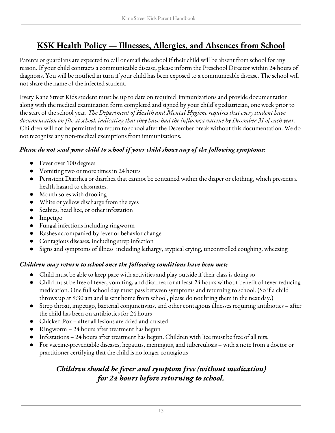## <span id="page-12-0"></span>**KSK Health Policy — Illnesses, Allergies, and Absences from School**

Parents or guardians are expected to call or email the school if their child will be absent from school for any reason. If your child contracts a communicable disease, please inform the Preschool Director within 24 hours of diagnosis. You will be notified in turn if your child has been exposed to a communicable disease. The school will not share the name of the infected student.

Every Kane Street Kids student must be up to date on required immunizations and provide documentation along with the medical examination form completed and signed by your child's pediatrician, one week prior to the start of the school year. *The Department of Health and Mental Hygiene requires that every student have* documentation on file at school, indicating that they have had the influenza vaccine by December 31 of each year. Children will not be permitted to return to school after the December break without this documentation. We do not recognize any non-medical exemptions from immunizations.

#### *Please do not send your child to school if your child shows any of the following symptoms:*

- Fever over 100 degrees
- Vomiting two or more times in 24 hours
- Persistent Diarrhea or diarrhea that cannot be contained within the diaper or clothing, which presents a health hazard to classmates.
- Mouth sores with drooling
- White or yellow discharge from the eyes
- Scabies, head lice, or other infestation
- Impetigo
- Fungal infections including ringworm
- Rashes accompanied by fever or behavior change
- Contagious diseases, including strep infection
- Signs and symptoms of illness including lethargy, atypical crying, uncontrolled coughing, wheezing

#### *Children may return to school once the following conditions have been met:*

- Child must be able to keep pace with activities and play outside if their class is doing so
- Child must be free of fever, vomiting, and diarrhea for at least 24 hours without benefit of fever reducing medication. One full school day must pass between symptoms and returning to school. (So if a child throws up at 9:30 am and is sent home from school, please do not bring them in the next day.)
- Strep throat, impetigo, bacterial conjunctivitis, and other contagious illnesses requiring antibiotics after the child has been on antibiotics for 24 hours
- Chicken Pox after all lesions are dried and crusted
- Ringworm 24 hours after treatment has begun
- Infestations 24 hours after treatment has begun. Children with lice must be free of all nits.
- For vaccine-preventable diseases, hepatitis, meningitis, and tuberculosis with a note from a doctor or practitioner certifying that the child is no longer contagious

#### *Children should be fever and symptom free (without medication) for 24 hours before returning to school.*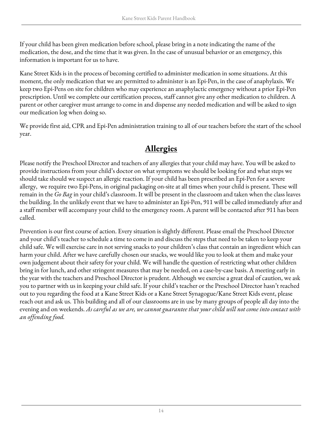If your child has been given medication before school, please bring in a note indicating the name of the medication, the dose, and the time that it was given. In the case of unusual behavior or an emergency, this information is important for us to have.

Kane Street Kids is in the process of becoming certified to administer medication in some situations. At this moment, the only medication that we are permitted to administer is an Epi-Pen, in the case of anaphylaxis. We keep two Epi-Pens on site for children who may experience an anaphylactic emergency without a prior Epi-Pen prescription. Until we complete our certification process, staff cannot give any other medication to children. A parent or other caregiver must arrange to come in and dispense any needed medication and will be asked to sign our medication log when doing so.

We provide first aid, CPR and Epi-Pen administration training to all of our teachers before the start of the school year.

## **Allergies**

<span id="page-13-0"></span>Please notify the Preschool Director and teachers of any allergies that your child may have. You will be asked to provide instructions from your child's doctor on what symptoms we should be looking for and what steps we should take should we suspect an allergic reaction. If your child has been prescribed an Epi-Pen for a severe allergy, we require two Epi-Pens, in original packaging on-site at all times when your child is present. These will remain in the *Go Bag* in your child's classroom. It will be present in the classroom and taken when the class leaves the building. In the unlikely event that we have to administer an Epi-Pen, 911 will be called immediately after and a staff member will accompany your child to the emergency room. A parent will be contacted after 911 has been called.

<span id="page-13-1"></span>Prevention is our first course of action. Every situation is slightly different. Please email the Preschool Director and your child's teacher to schedule a time to come in and discuss the steps that need to be taken to keep your child safe. We will exercise care in not serving snacks to your children's class that contain an ingredient which can harm your child. After we have carefully chosen our snacks, we would like you to look at them and make your own judgement about their safety for your child. We will handle the question of restricting what other children bring in for lunch, and other stringent measures that may be needed, on a case-by-case basis. A meeting early in the year with the teachers and Preschool Director is prudent. Although we exercise a great deal of caution, we ask you to partner with us in keeping your child safe. If your child's teacher or the Preschool Director hasn't reached out to you regarding the food at a Kane Street Kids or a Kane Street Synagogue/Kane Street Kids event, please reach out and ask us. This building and all of our classrooms are in use by many groups of people all day into the evening and on weekends. As careful as we are, we cannot guarantee that your child will not come into contact with *an of ending food.*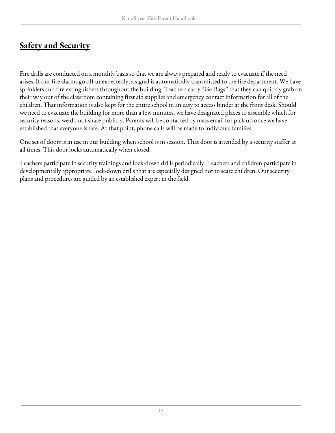## **Safety and Security**

Fire drills are conducted on a monthly basis so that we are always prepared and ready to evacuate if the need arises. If our fire alarms go off unexpectedly, a signal is automatically transmitted to the fire department. We have sprinklers and fire extinguishers throughout the building. Teachers carry "Go Bags" that they can quickly grab on their way out of the classroom containing first aid supplies and emergency contact information for all of the children. That information is also kept for the entire school in an easy to access binder at the front desk. Should we need to evacuate the building for more than a few minutes, we have designated places to assemble which for security reasons, we do not share publicly. Parents will be contacted by mass email for pick up once we have established that everyone is safe. At that point, phone calls will be made to individual families.

One set of doors is in use in our building when school is in session. That door is attended by a security staffer at all times. This door locks automatically when closed.

Teachers participate in security trainings and lock-down drills periodically. Teachers and children participate in developmentally appropriate lock-down drills that are especially designed not to scare children. Our security plans and procedures are guided by an established expert in the field.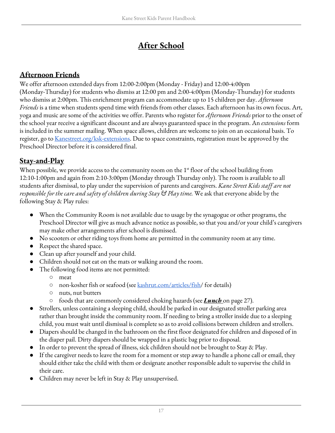## **After School**

#### <span id="page-16-0"></span>**Afternoon Friends**

We offer afternoon extended days from 12:00-2:00pm (Monday - Friday) and 12:00-4:00pm (Monday-Thursday) for students who dismiss at 12:00 pm and 2:00-4:00pm (Monday-Thursday) for students who dismiss at 2:00pm. This enrichment program can accommodate up to 15 children per day. *Afternoon Friends* is a time when students spend time with friends from other classes. Each afternoon has its own focus. Art, yoga and music are some of the activities we offer. Parents who register for *Afternoon Friends* prior to the onset of the school year receive a significant discount and are always guaranteed space in the program. An *extensions* form is included in the summer mailing. When space allows, children are welcome to join on an occasional basis. To register, go to <u>Kanestreet.org/ksk-extensions</u>. Due to space constraints, registration must be approved by the Preschool Director before it is considered final.

#### <span id="page-16-1"></span>**Stay-and-Play**

When possible, we provide access to the community room on the  $1<sup>st</sup>$  floor of the school building from 12:10-1:00pm and again from 2:10-3:00pm (Monday through Thursday only). The room is available to all students after dismissal, to play under the supervision of parents and caregivers. *Kane Street Kids staf are not responsible for the care and safety of children during Stay & Play time.* We ask that everyone abide by the following Stay & Play rules:

- When the Community Room is not available due to usage by the synagogue or other programs, the Preschool Director will give as much advance notice as possible, so that you and/or your child's caregivers may make other arrangements after school is dismissed.
- No scooters or other riding toys from home are permitted in the community room at any time.
- Respect the shared space.
- Clean up after yourself and your child.
- Children should not eat on the mats or walking around the room.
	- The following food items are not permitted:
		- meat
		- non-kosher fish or seafood (see [kashrut.com/articles/fish/](https://www.kashrut.com/articles/fish/) for details)
		- nuts, nut butters
		- foods that are commonly considered choking hazards (see *Lunch* on page 27).
- Strollers, unless containing a sleeping child, should be parked in our designated stroller parking area rather than brought inside the community room. If needing to bring a stroller inside due to a sleeping child, you must wait until dismissal is complete so as to avoid collisions between children and strollers.
- Diapers should be changed in the bathroom on the first floor designated for children and disposed of in the diaper pail. Dirty diapers should be wrapped in a plastic bag prior to disposal.
- In order to prevent the spread of illness, sick children should not be brought to Stay & Play.
- If the caregiver needs to leave the room for a moment or step away to handle a phone call or email, they should either take the child with them or designate another responsible adult to supervise the child in their care.
- Children may never be left in Stay & Play unsupervised.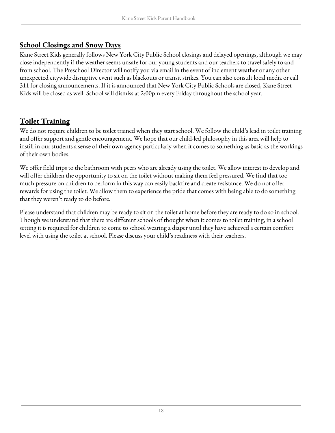#### <span id="page-17-0"></span>**School Closings and Snow Days**

Kane Street Kids generally follows New York City Public School closings and delayed openings, although we may close independently if the weather seems unsafe for our young students and our teachers to travel safely to and from school. The Preschool Director will notify you via email in the event of inclement weather or any other unexpected citywide disruptive event such as blackouts or transit strikes. You can also consult local media or call 311 for closing announcements. If it is announced that New York City Public Schools are closed, Kane Street Kids will be closed as well. School will dismiss at 2:00pm every Friday throughout the school year.

#### <span id="page-17-1"></span>**Toilet Training**

We do not require children to be toilet trained when they start school. We follow the child's lead in toilet training and offer support and gentle encouragement. We hope that our child-led philosophy in this area will help to instill in our students a sense of their own agency particularly when it comes to something as basic as the workings of their own bodies.

We offer field trips to the bathroom with peers who are already using the toilet. We allow interest to develop and will offer children the opportunity to sit on the toilet without making them feel pressured. We find that too much pressure on children to perform in this way can easily backfire and create resistance. We do not offer rewards for using the toilet. We allow them to experience the pride that comes with being able to do something that they weren't ready to do before.

Please understand that children may be ready to sit on the toilet at home before they are ready to do so in school. Though we understand that there are different schools of thought when it comes to toilet training, in a school setting it is required for children to come to school wearing a diaper until they have achieved a certain comfort level with using the toilet at school. Please discuss your child's readiness with their teachers.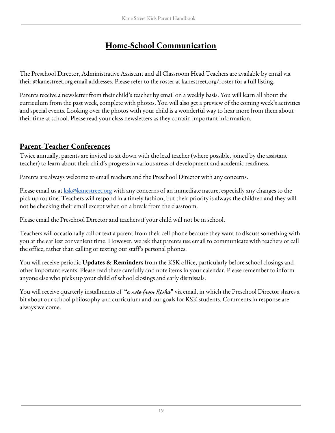## **Home-School Communication**

<span id="page-18-0"></span>The Preschool Director, Administrative Assistant and all Classroom Head Teachers are available by email via their @kanestreet.org email addresses. Please refer to the roster at kanestreet.org/roster for a full listing.

Parents receive a newsletter from their child's teacher by email on a weekly basis. You will learn all about the curriculum from the past week, complete with photos. You will also get a preview of the coming week's activities and special events. Looking over the photos with your child is a wonderful way to hear more from them about their time at school. Please read your class newsletters as they contain important information.

#### <span id="page-18-1"></span>**Parent-Teacher Conferences**

Twice annually, parents are invited to sit down with the lead teacher (where possible, joined by the assistant teacher) to learn about their child's progress in various areas of development and academic readiness.

Parents are always welcome to email teachers and the Preschool Director with any concerns.

Please email us at *[ksk@kanestreet.org](mailto:KSK@KaneStreet.org)* with any concerns of an immediate nature, especially any changes to the pick up routine. Teachers will respond in a timely fashion, but their priority is always the children and they will not be checking their email except when on a break from the classroom.

Please email the Preschool Director and teachers if your child will not be in school.

Teachers will occasionally call or text a parent from their cell phone because they want to discuss something with you at the earliest convenient time. However, we ask that parents use email to communicate with teachers or call the office, rather than calling or texting our staff's personal phones.

You will receive periodic **Updates & Reminders** from the KSK office, particularly before school closings and other important events. Please read these carefully and note items in your calendar. Please remember to inform anyone else who picks up your child of school closings and early dismissals.

You will receive quarterly installments of **"a note from Rivka"** via email, in which the Preschool Director shares a bit about our school philosophy and curriculum and our goals for KSK students. Comments in response are always welcome.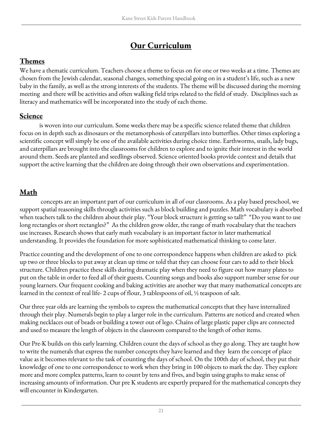## **Our Curriculum**

#### <span id="page-20-1"></span><span id="page-20-0"></span>**Themes**

We have a thematic curriculum. Teachers choose a theme to focus on for one or two weeks at a time. Themes are chosen from the Jewish calendar, seasonal changes, something special going on in a student's life, such as a new baby in the family, as well as the strong interests of the students. The theme will be discussed during the morning meeting and there will be activities and often walking field trips related to the field of study. Disciplines such as literacy and mathematics will be incorporated into the study of each theme.

#### <span id="page-20-2"></span>**Science**

is woven into our curriculum. Some weeks there may be a specific science related theme that children focus on in depth such as dinosaurs or the metamorphosis of caterpillars into butterflies. Other times exploring a scientific concept will simply be one of the available activities during choice time. Earthworms, snails, lady bugs, and caterpillars are brought into the classrooms for children to explore and to ignite their interest in the world around them. Seeds are planted and seedlings observed. Science oriented books provide context and details that support the active learning that the children are doing through their own observations and experimentation.

### <span id="page-20-3"></span>**Math**

concepts are an important part of our curriculum in all of our classrooms. As a play based preschool, we support spatial reasoning skills through activities such as block building and puzzles. Math vocabulary is absorbed when teachers talk to the children about their play. "Your block structure is getting so tall!" "Do you want to use long rectangles or short rectangles?" As the children grow older, the range of math vocabulary that the teachers use increases. Research shows that early math vocabulary is an important factor in later mathematical understanding. It provides the foundation for more sophisticated mathematical thinking to come later.

Practice counting and the development of one to one correspondence happens when children are asked to pick up two or three blocks to put away at clean up time or told that they can choose four cars to add to their block structure. Children practice these skills during dramatic play when they need to figure out how many plates to put on the table in order to feed all of their guests. Counting songs and books also support number sense for our young learners. Our frequent cooking and baking activities are another way that many mathematical concepts are learned in the context of real life- 2 cups of flour, 3 tablespoons of oil, ½ teaspoon of salt.

Our three year olds are learning the symbols to express the mathematical concepts that they have internalized through their play. Numerals begin to play a larger role in the curriculum. Patterns are noticed and created when making necklaces out of beads or building a tower out of lego. Chains of large plastic paper clips are connected and used to measure the length of objects in the classroom compared to the length of other items.

Our Pre-K builds on this early learning. Children count the days of school as they go along. They are taught how to write the numerals that express the number concepts they have learned and they learn the concept of place value as it becomes relevant to the task of counting the days of school. On the 100th day of school, they put their knowledge of one to one correspondence to work when they bring in 100 objects to mark the day. They explore more and more complex patterns, learn to count by tens and fives, and begin using graphs to make sense of increasing amounts of information. Our pre K students are expertly prepared for the mathematical concepts they will encounter in Kindergarten.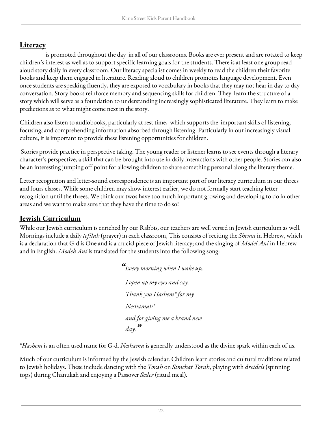#### <span id="page-21-0"></span>**Literacy**

is promoted throughout the day in all of our classrooms. Books are ever present and are rotated to keep children's interest as well as to support specific learning goals for the students. There is at least one group read aloud story daily in every classroom. Our literacy specialist comes in weekly to read the children their favorite books and keep them engaged in literature. Reading aloud to children promotes language development. Even once students are speaking fluently, they are exposed to vocabulary in books that they may not hear in day to day conversation. Story books reinforce memory and sequencing skills for children. They learn the structure of a story which will serve as a foundation to understanding increasingly sophisticated literature. They learn to make predictions as to what might come next in the story.

Children also listen to audiobooks, particularly at rest time, which supports the important skills of listening, focusing, and comprehending information absorbed through listening. Particularly in our increasingly visual culture, it is important to provide these listening opportunities for children.

Stories provide practice in perspective taking. The young reader or listener learns to see events through a literary character's perspective, a skill that can be brought into use in daily interactions with other people. Stories can also be an interesting jumping off point for allowing children to share something personal along the literary theme.

Letter recognition and letter-sound correspondence is an important part of our literacy curriculum in our threes and fours classes. While some children may show interest earlier, we do not formally start teaching letter recognition until the threes. We think our twos have too much important growing and developing to do in other areas and we want to make sure that they have the time to do so!

#### <span id="page-21-1"></span>**Jewish Curriculum**

While our Jewish curriculum is enriched by our Rabbis, our teachers are well versed in Jewish curriculum as well. Mornings include a daily *tefilah* (prayer) in each classroom, This consists of reciting the *Shema* in Hebrew, which is a declaration that G-d is One and is a crucial piece of Jewish literacy; and the singing of *Model Ani* in Hebrew and in English. *Modeh Ani* is translated for the students into the following song:

```
"Every morning when I wake up,
I open up my eyes and say,
Thank you Hashem* for my
Neshamah*
and for giving me a brand new
day<sup>99</sup>
```
\**Hashem* is an often used name for G-d. *Neshama* is generally understood as the divine spark within each of us.

Much of our curriculum is informed by the Jewish calendar. Children learn stories and cultural traditions related to Jewish holidays. These include dancing with the *Torah* on *Simchat Torah*, playing with *dreidels* (spinning tops) during Chanukah and enjoying a Passover *Seder* (ritual meal).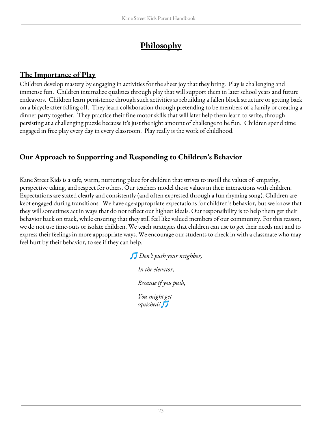## **Philosophy**

#### <span id="page-22-1"></span><span id="page-22-0"></span>**The Importance of Play**

Children develop mastery by engaging in activities for the sheer joy that they bring. Play is challenging and immense fun. Children internalize qualities through play that will support them in later school years and future endeavors. Children learn persistence through such activities as rebuilding a fallen block structure or getting back on a bicycle after falling off. They learn collaboration through pretending to be members of a family or creating a dinner party together. They practice their fine motor skills that will later help them learn to write, through persisting at a challenging puzzle because it's just the right amount of challenge to be fun. Children spend time engaged in free play every day in every classroom. Play really is the work of childhood.

#### <span id="page-22-2"></span>**Our Approach to Supporting and Responding to Children's Behavior**

Kane Street Kids is a safe, warm, nurturing place for children that strives to instill the values of empathy, perspective taking, and respect for others. Our teachers model those values in their interactions with children. Expectations are stated clearly and consistently (and often expressed through a fun rhyming song). Children are kept engaged during transitions. We have age-appropriate expectations for children's behavior, but we know that they will sometimes act in ways that do not reflect our highest ideals. Our responsibility is to help them get their behavior back on track, while ensuring that they still feel like valued members of our community. For this reason, we do not use time-outs or isolate children. We teach strategies that children can use to get their needs met and to express their feelings in more appropriate ways. We encourage our students to check in with a classmate who may feel hurt by their behavior, to see if they can help.

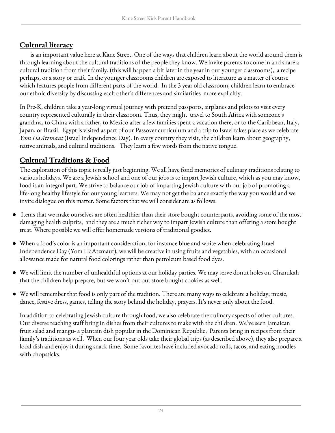#### <span id="page-23-0"></span>**Cultural literacy**

is an important value here at Kane Street. One of the ways that children learn about the world around them is through learning about the cultural traditions of the people they know. We invite parents to come in and share a cultural tradition from their family, (this will happen a bit later in the year in our younger classrooms), a recipe perhaps, or a story or craft. In the younger classrooms children are exposed to literature as a matter of course which features people from different parts of the world. In the 3 year old classroom, children learn to embrace our ethnic diversity by discussing each other's differences and similarities more explicitly.

In Pre-K, children take a year-long virtual journey with pretend passports, airplanes and pilots to visit every country represented culturally in their classroom. Thus, they might travel to South Africa with someone's grandma, to China with a father, to Mexico after a few families spent a vacation there, or to the Caribbean, Italy, Japan, or Brazil. Egypt is visited as part of our Passover curriculum and a trip to Israel takes place as we celebrate *Yom HaAtzmaut* (Israel Independence Day). In every country they visit, the children learn about geography, native animals, and cultural traditions. They learn a few words from the native tongue.

#### <span id="page-23-1"></span>**Cultural Traditions & Food**

The exploration of this topic is really just beginning. We all have fond memories of culinary traditions relating to various holidays. We are a Jewish school and one of our jobs is to impart Jewish culture, which as you may know, food is an integral part. We strive to balance our job of imparting Jewish culture with our job of promoting a life-long healthy lifestyle for our young learners. We may not get the balance exactly the way you would and we invite dialogue on this matter. Some factors that we will consider are as follows:

- Items that we make ourselves are often healthier than their store bought counterparts, avoiding some of the most damaging health culprits, and they are a much richer way to impart Jewish culture than offering a store bought treat. Where possible we will offer homemade versions of traditional goodies.
- When a food's color is an important consideration, for instance blue and white when celebrating Israel Independence Day (Yom HaAtzmaut), we will be creative in using fruits and vegetables, with an occasional allowance made for natural food colorings rather than petroleum based food dyes.
- We will limit the number of unhealthful options at our holiday parties. We may serve donut holes on Chanukah that the children help prepare, but we won't put out store bought cookies as well.
- We will remember that food is only part of the tradition. There are many ways to celebrate a holiday; music, dance, festive dress, games, telling the story behind the holiday, prayers. It's never only about the food.

In addition to celebrating Jewish culture through food, we also celebrate the culinary aspects of other cultures. Our diverse teaching staff bring in dishes from their cultures to make with the children. We've seen Jamaican fruit salad and mangu- a plantain dish popular in the Dominican Republic. Parents bring in recipes from their family's traditions as well. When our four year olds take their global trips (as described above), they also prepare a local dish and enjoy it during snack time. Some favorites have included avocado rolls, tacos, and eating noodles with chopsticks.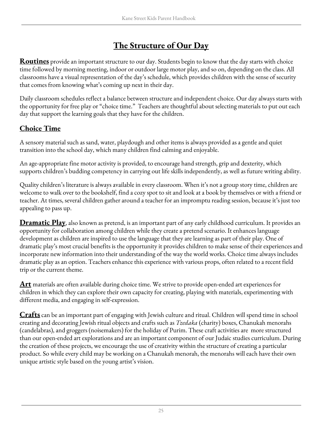## **The Structure of Our Day**

<span id="page-24-0"></span>**Routines** provide an important structure to our day. Students begin to know that the day starts with choice time followed by morning meeting, indoor or outdoor large motor play, and so on, depending on the class. All classrooms have a visual representation of the day's schedule, which provides children with the sense of security that comes from knowing what's coming up next in their day.

Daily classroom schedules reflect a balance between structure and independent choice. Our day always starts with the opportunity for free play or "choice time." Teachers are thoughtful about selecting materials to put out each day that support the learning goals that they have for the children.

#### **Choice Time**

A sensory material such as sand, water, playdough and other items is always provided as a gentle and quiet transition into the school day, which many children find calming and enjoyable.

An age-appropriate fine motor activity is provided, to encourage hand strength, grip and dexterity, which supports children's budding competency in carrying out life skills independently, as well as future writing ability.

Quality children's literature is always available in every classroom. When it's not a group story time, children are welcome to walk over to the bookshelf, find a cozy spot to sit and look at a book by themselves or with a friend or teacher. At times, several children gather around a teacher for an impromptu reading session, because it's just too appealing to pass up.

**Dramatic Play**, also known as pretend, is an important part of any early childhood curriculum. It provides an opportunity for collaboration among children while they create a pretend scenario. It enhances language development as children are inspired to use the language that they are learning as part of their play. One of dramatic play's most crucial benefits is the opportunity it provides children to make sense of their experiences and incorporate new information into their understanding of the way the world works. Choice time always includes dramatic play as an option. Teachers enhance this experience with various props, often related to a recent field trip or the current theme.

**Art** materials are often available during choice time. We strive to provide open-ended art experiences for children in which they can explore their own capacity for creating, playing with materials, experimenting with different media, and engaging in self-expression.

**Crafts** can be an important part of engaging with Jewish culture and ritual. Children will spend time in school creating and decorating Jewish ritual objects and crafts such as *Tzedaka* (charity) boxes, Chanukah menorahs (candelabras), and groggers (noisemakers) for the holiday of Purim. These craft activities are more structured than our open-ended art explorations and are an important component of our Judaic studies curriculum. During the creation of these projects, we encourage the use of creativity within the structure of creating a particular product. So while every child may be working on a Chanukah menorah, the menorahs will each have their own unique artistic style based on the young artist's vision.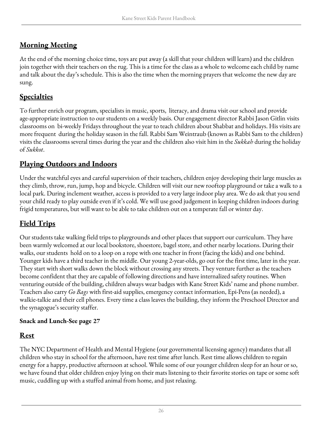#### **Morning Meeting**

At the end of the morning choice time, toys are put away (a skill that your children will learn) and the children join together with their teachers on the rug. This is a time for the class as a whole to welcome each child by name and talk about the day's schedule. This is also the time when the morning prayers that welcome the new day are sung.

#### **Specialties**

To further enrich our program, specialists in music, sports, literacy, and drama visit our school and provide age-appropriate instruction to our students on a weekly basis. Our engagement director Rabbi Jason Gitlin visits classrooms on bi-weekly Fridays throughout the year to teach children about Shabbat and holidays. His visits are more frequent during the holiday season in the fall. Rabbi Sam Weintraub (known as Rabbi Sam to the children) visits the classrooms several times during the year and the children also visit him in the *Sukkah* during the holiday of *Sukkot*.

#### **Playing Outdoors and Indoors**

Under the watchful eyes and careful supervision of their teachers, children enjoy developing their large muscles as they climb, throw, run, jump, hop and bicycle. Children will visit our new rooftop playground or take a walk to a local park. During inclement weather, access is provided to a very large indoor play area. We do ask that you send your child ready to play outside even if it's cold. We will use good judgement in keeping children indoors during frigid temperatures, but will want to be able to take children out on a temperate fall or winter day.

#### **Field Trips**

Our students take walking field trips to playgrounds and other places that support our curriculum. They have been warmly welcomed at our local bookstore, shoestore, bagel store, and other nearby locations. During their walks, our students hold on to a loop on a rope with one teacher in front (facing the kids) and one behind. Younger kids have a third teacher in the middle. Our young 2-year-olds, go out for the first time, later in the year. They start with short walks down the block without crossing any streets. They venture further as the teachers become confident that they are capable of following directions and have internalized safety routines. When venturing outside of the building, children always wear badges with Kane Street Kids' name and phone number. Teachers also carry *Go Bags* with first-aid supplies, emergency contact information, Epi-Pens (as needed), a walkie-talkie and their cell phones. Every time a class leaves the building, they inform the Preschool Director and the synagogue's security staffer.

#### **Snack and Lunch-See page 27**

#### **Rest**

The NYC Department of Health and Mental Hygiene (our governmental licensing agency) mandates that all children who stay in school for the afternoon, have rest time after lunch. Rest time allows children to regain energy for a happy, productive afternoon at school. While some of our younger children sleep for an hour or so, we have found that older children enjoy lying on their mats listening to their favorite stories on tape or some soft music, cuddling up with a stuffed animal from home, and just relaxing.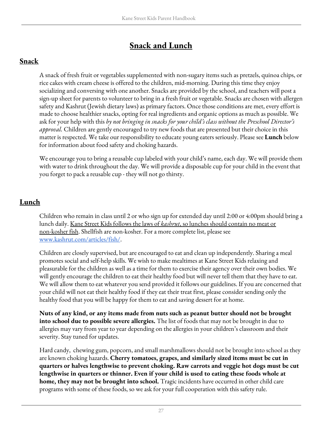## **Snack and Lunch**

#### <span id="page-26-0"></span>**Snack**

A snack of fresh fruit or vegetables supplemented with non-sugary items such as pretzels, quinoa chips, or rice cakes with cream cheese is offered to the children, mid-morning. During this time they enjoy socializing and conversing with one another. Snacks are provided by the school, and teachers will post a sign-up sheet for parents to volunteer to bring in a fresh fruit or vegetable. Snacks are chosen with allergen safety and Kashrut (Jewish dietary laws) as primary factors. Once those conditions are met, every effort is made to choose healthier snacks, opting for real ingredients and organic options as much as possible. We ask for your help with this *by not bringing in snacks for your child's class without the Preschool Director's approval.* Children are gently encouraged to try new foods that are presented but their choice in this matter is respected. We take our responsibility to educate young eaters seriously. Please see **Lunch** below for information about food safety and choking hazards.

We encourage you to bring a reusable cup labeled with your child's name, each day. We will provide them with water to drink throughout the day. We will provide a disposable cup for your child in the event that you forget to pack a reusable cup - they will not go thirsty.

#### **Lunch**

Children who remain in class until 2 or who sign up for extended day until 2:00 or 4:00pm should bring a lunch daily. Kane Street Kids follows the laws of *kashrut*, so lunches should contain no meat or non-kosher fish. Shellfish are non-kosher. For a more complete list, please see [www.kashrut.com/articles/fish/.](https://www.kashrut.com/articles/fish/)

Children are closely supervised, but are encouraged to eat and clean up independently. Sharing a meal promotes social and self-help skills. We wish to make mealtimes at Kane Street Kids relaxing and pleasurable for the children as well as a time for them to exercise their agency over their own bodies. We will gently encourage the children to eat their healthy food but will never tell them that they have to eat. We will allow them to eat whatever you send provided it follows our guidelines. If you are concerned that your child will not eat their healthy food if they eat their treat first, please consider sending only the healthy food that you will be happy for them to eat and saving dessert for at home.

**Nuts of any kind, or any items made from nuts such as peanut butter should not be brought into school due to possible severe allergies.** The list of foods that may not be brought in due to allergies may vary from year to year depending on the allergies in your children's classroom and their severity. Stay tuned for updates.

Hard candy, chewing gum, popcorn, and small marshmallows should not be brought into school as they are known choking hazards. **Cherry tomatoes, grapes, and similarly sized items must be cut in quarters or halves lengthwise to prevent choking. Raw carrots and veggie hot dogs must be cut lengthwise in quarters or thinner. Even if your child is used to eating these foods whole at home, they may not be brought into school.** Tragic incidents have occurred in other child care programs with some of these foods, so we ask for your full cooperation with this safety rule.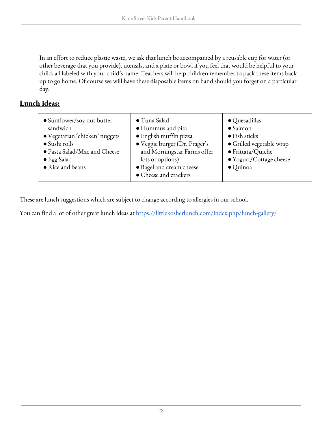In an effort to reduce plastic waste, we ask that lunch be accompanied by a reusable cup for water (or other beverage that you provide), utensils, and a plate or bowl if you feel that would be helpful to your child, all labeled with your child's name. Teachers will help children remember to pack these items back up to go home. Of course we will have these disposable items on hand should you forget on a particular day.

#### **Lunch ideas:**

| • Sunflower/soy nut butter<br>sandwich<br>· Vegetarian 'chicken' nuggets<br>$\bullet$ Sushi rolls<br>· Pasta Salad/Mac and Cheese<br>$\bullet$ Egg Salad<br>• Rice and beans | · Tuna Salad<br>· Hummus and pita<br>· English muffin pizza<br>· Veggie burger (Dr. Prager's<br>and Morningstar Farms offer<br>lots of options)<br>· Bagel and cream cheese<br>• Cheese and crackers | $\bullet$ Quesadillas<br>$\bullet$ Salmon<br>$\bullet$ Fish sticks<br>• Grilled vegetable wrap<br>· Frittata/Quiche<br>• Yogurt/Cottage cheese<br>$\bullet$ Quinoa |
|------------------------------------------------------------------------------------------------------------------------------------------------------------------------------|------------------------------------------------------------------------------------------------------------------------------------------------------------------------------------------------------|--------------------------------------------------------------------------------------------------------------------------------------------------------------------|
|                                                                                                                                                                              |                                                                                                                                                                                                      |                                                                                                                                                                    |

These are lunch suggestions which are subject to change according to allergies in our school.

You can find a lot of other great lunch ideas at <https://littlekosherlunch.com/index.php/lunch-gallery/>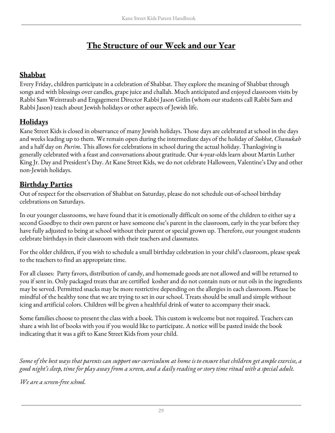## **The Structure of our Week and our Year**

#### <span id="page-28-0"></span>**Shabbat**

Every Friday, children participate in a celebration of Shabbat. They explore the meaning of Shabbat through songs and with blessings over candles, grape juice and challah. Much anticipated and enjoyed classroom visits by Rabbi Sam Weintraub and Engagement Director Rabbi Jason Gitlin (whom our students call Rabbi Sam and Rabbi Jason) teach about Jewish holidays or other aspects of Jewish life.

#### <span id="page-28-1"></span>**Holidays**

Kane Street Kids is closed in observance of many Jewish holidays. Those days are celebrated at school in the days and weeks leading up to them. We remain open during the intermediate days of the holiday of *Sukkot*, *Chanukah* and a half day on *Purim*. This allows for celebrations in school during the actual holiday. Thanksgiving is generally celebrated with a feast and conversations about gratitude. Our 4-year-olds learn about Martin Luther King Jr. Day and President's Day. At Kane Street Kids, we do not celebrate Halloween, Valentine's Day and other non-Jewish holidays.

#### <span id="page-28-2"></span>**Birthday Parties**

Out of respect for the observation of Shabbat on Saturday, please do not schedule out-of-school birthday celebrations on Saturdays.

In our younger classrooms, we have found that it is emotionally difficult on some of the children to either say a second Goodbye to their own parent or have someone else's parent in the classroom, early in the year before they have fully adjusted to being at school without their parent or special grown up. Therefore, our youngest students celebrate birthdays in their classroom with their teachers and classmates.

For the older children, if you wish to schedule a small birthday celebration in your child's classroom, please speak to the teachers to find an appropriate time.

For all classes: Party favors, distribution of candy, and homemade goods are not allowed and will be returned to you if sent in. Only packaged treats that are certified kosher and do not contain nuts or nut oils in the ingredients may be served. Permitted snacks may be more restrictive depending on the allergies in each classroom. Please be mindful of the healthy tone that we are trying to set in our school. Treats should be small and simple without icing and artificial colors. Children will be given a healthful drink of water to accompany their snack.

Some families choose to present the class with a book. This custom is welcome but not required. Teachers can share a wish list of books with you if you would like to participate. A notice will be pasted inside the book indicating that it was a gift to Kane Street Kids from your child.

Some of the best ways that parents can support our curriculum at home is to ensure that children get ample exercise, a good night's sleep, time for play away from a screen, and a daily reading or story time ritual with a special adult.

*We are a screen-free school.*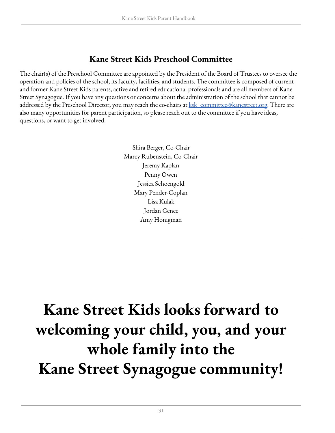## **Kane Street Kids Preschool Committee**

The chair(s) of the Preschool Committee are appointed by the President of the Board of Trustees to oversee the operation and policies of the school, its faculty, facilities, and students. The committee is composed of current and former Kane Street Kids parents, active and retired educational professionals and are all members of Kane Street Synagogue. If you have any questions or concerns about the administration of the school that cannot be addressed by the Preschool Director, you may reach the co-chairs at <u>ksk\_committee@kanestreet.org</u>. There are also many opportunities for parent participation, so please reach out to the committee if you have ideas, questions, or want to get involved.

> Shira Berger, Co-Chair Marcy Rubenstein, Co-Chair Jeremy Kaplan Penny Owen Jessica Schoengold Mary Pender-Coplan Lisa Kulak Jordan Genee Amy Honigman

# **Kane Street Kids looks forward to welcoming your child, you, and your whole family into the Kane Street Synagogue community!**